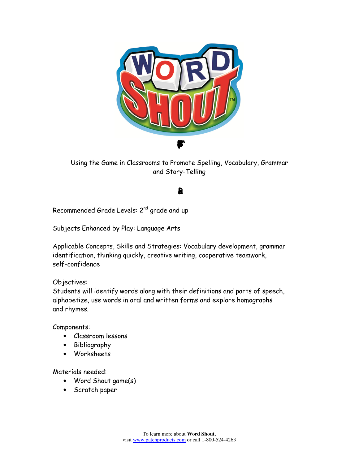

Using the Game in Classrooms to Promote Spelling, Vocabulary, Grammar and Story-Telling

# Leson Pla

Recommended Grade Levels: 2nd grade and up

Subjects Enhanced by Play: Language Arts

Applicable Concepts, Skills and Strategies: Vocabulary development, grammar identification, thinking quickly, creative writing, cooperative teamwork, self-confidence

#### Objectives:

Students will identify words along with their definitions and parts of speech, alphabetize, use words in oral and written forms and explore homographs and rhymes.

Components:

- Classroom lessons
- Bibliography
- Worksheets

Materials needed:

- Word Shout game(s)
- Scratch paper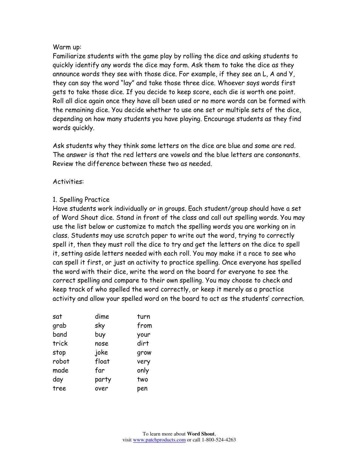#### Warm up:

Familiarize students with the game play by rolling the dice and asking students to quickly identify any words the dice may form. Ask them to take the dice as they announce words they see with those dice. For example, if they see an L, A and Y, they can say the word "lay" and take those three dice. Whoever says words first gets to take those dice. If you decide to keep score, each die is worth one point. Roll all dice again once they have all been used or no more words can be formed with the remaining dice. You decide whether to use one set or multiple sets of the dice, depending on how many students you have playing. Encourage students as they find words quickly.

Ask students why they think some letters on the dice are blue and some are red. The answer is that the red letters are vowels and the blue letters are consonants. Review the difference between these two as needed.

#### Activities:

#### 1. Spelling Practice

Have students work individually or in groups. Each student/group should have a set of Word Shout dice. Stand in front of the class and call out spelling words. You may use the list below or customize to match the spelling words you are working on in class. Students may use scratch paper to write out the word, trying to correctly spell it, then they must roll the dice to try and get the letters on the dice to spell it, setting aside letters needed with each roll. You may make it a race to see who can spell it first, or just an activity to practice spelling. Once everyone has spelled the word with their dice, write the word on the board for everyone to see the correct spelling and compare to their own spelling. You may choose to check and keep track of who spelled the word correctly, or keep it merely as a practice activity and allow your spelled word on the board to act as the students' correction.

| sat   | dime  | turn |
|-------|-------|------|
| grab  | sky   | from |
| band  | buy   | your |
| trick | nose  | dirt |
| stop  | joke  | grow |
| robot | float | very |
| made  | far   | only |
| day   | party | two  |
| tree  | over  | pen  |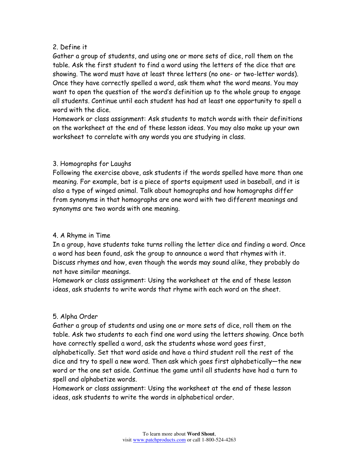### 2. Define it

Gather a group of students, and using one or more sets of dice, roll them on the table. Ask the first student to find a word using the letters of the dice that are showing. The word must have at least three letters (no one- or two-letter words). Once they have correctly spelled a word, ask them what the word means. You may want to open the question of the word's definition up to the whole group to engage all students. Continue until each student has had at least one opportunity to spell a word with the dice.

Homework or class assignment: Ask students to match words with their definitions on the worksheet at the end of these lesson ideas. You may also make up your own worksheet to correlate with any words you are studying in class.

### 3. Homographs for Laughs

Following the exercise above, ask students if the words spelled have more than one meaning. For example, bat is a piece of sports equipment used in baseball, and it is also a type of winged animal. Talk about homographs and how homographs differ from synonyms in that homographs are one word with two different meanings and synonyms are two words with one meaning.

## 4. A Rhyme in Time

In a group, have students take turns rolling the letter dice and finding a word. Once a word has been found, ask the group to announce a word that rhymes with it. Discuss rhymes and how, even though the words may sound alike, they probably do not have similar meanings.

Homework or class assignment: Using the worksheet at the end of these lesson ideas, ask students to write words that rhyme with each word on the sheet.

## 5. Alpha Order

Gather a group of students and using one or more sets of dice, roll them on the table. Ask two students to each find one word using the letters showing. Once both have correctly spelled a word, ask the students whose word goes first, alphabetically. Set that word aside and have a third student roll the rest of the dice and try to spell a new word. Then ask which goes first alphabetically—the new word or the one set aside. Continue the game until all students have had a turn to spell and alphabetize words.

Homework or class assignment: Using the worksheet at the end of these lesson ideas, ask students to write the words in alphabetical order.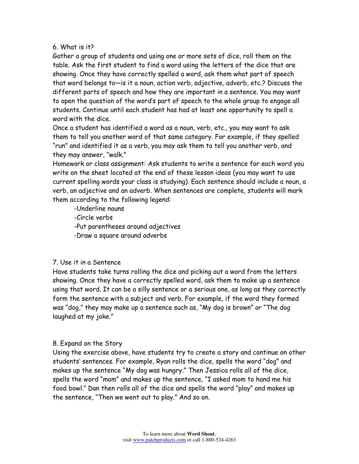#### 6. What is it?

Gather a group of students and using one or more sets of dice, roll them on the table. Ask the first student to find a word using the letters of the dice that are showing. Once they have correctly spelled a word, ask them what part of speech that word belongs to—is it a noun, action verb, adjective, adverb, etc.? Discuss the different parts of speech and how they are important in a sentence. You may want to open the question of the word's part of speech to the whole group to engage all students. Continue until each student has had at least one opportunity to spell a word with the dice.

Once a student has identified a word as a noun, verb, etc., you may want to ask them to tell you another word of that same category. For example, if they spelled "run" and identified it as a verb, you may ask them to tell you another verb, and they may answer, "walk."

Homework or class assignment: Ask students to write a sentence for each word you write on the sheet located at the end of these lesson ideas (you may want to use current spelling words your class is studying). Each sentence should include a noun, a verb, an adjective and an adverb. When sentences are complete, students will mark them according to the following legend:

 -Underline nouns -Circle verbs -Put parentheses around adjectives -Draw a square around adverbs

#### 7. Use it in a Sentence

Have students take turns rolling the dice and picking out a word from the letters showing. Once they have a correctly spelled word, ask them to make up a sentence using that word. It can be a silly sentence or a serious one, as long as they correctly form the sentence with a subject and verb. For example, if the word they formed was "dog," they may make up a sentence such as, "My dog is brown" or "The dog laughed at my joke."

#### 8. Expand on the Story

Using the exercise above, have students try to create a story and continue on other students' sentences. For example, Ryan rolls the dice, spells the word "dog" and makes up the sentence "My dog was hungry." Then Jessica rolls all of the dice, spells the word "mom" and makes up the sentence, "I asked mom to hand me his food bowl." Dan then rolls all of the dice and spells the word "play" and makes up the sentence, "Then we went out to play." And so on.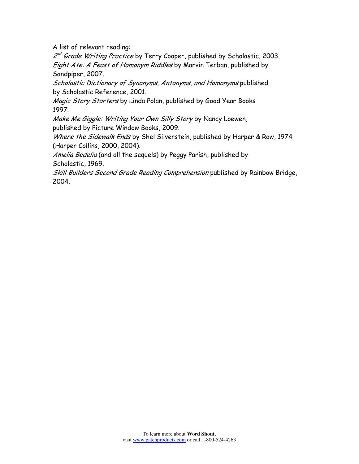A list of relevant reading:

2<sup>nd</sup> Grade Writing Practice by Terry Cooper, published by Scholastic, 2003. Eight Ate: A Feast of Homonym Riddles by Marvin Terban, published by Sandpiper, 2007.

Scholastic Dictionary of Synonyms, Antonyms, and Homonyms published by Scholastic Reference, 2001.

Magic Story Starters by Linda Polan, published by Good Year Books 1997.

Make Me Giggle: Writing Your Own Silly Story by Nancy Loewen, published by Picture Window Books, 2009.

Where the Sidewalk Ends by Shel Silverstein, published by Harper & Row, 1974 (Harper Collins, 2000, 2004).

Amelia Bedelia (and all the sequels) by Peggy Parish, published by Scholastic, 1969.

Skill Builders Second Grade Reading Comprehension published by Rainbow Bridge, 2004.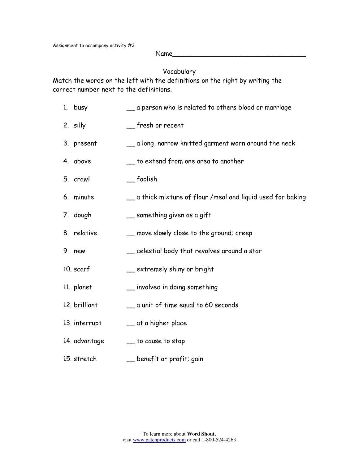Assignment to accompany activity #3.

 $Name$ 

Vocabulary

Match the words on the left with the definitions on the right by writing the correct number next to the definitions.

- 1. busy \_\_ a person who is related to others blood or marriage
- 2. silly \_\_ fresh or recent
- 3. present \_\_ a long, narrow knitted garment worn around the neck
- 4. above \_\_\_\_\_\_\_\_ to extend from one area to another
- 5. crawl \_\_ foolish
- 6. minute \_\_ a thick mixture of flour /meal and liquid used for baking
- 7. dough \_\_ something given as a gift
- 8. relative \_\_ move slowly close to the ground; creep
- 9. new \_\_\_\_\_\_\_\_ celestial body that revolves around a star
- 10. scarf \_\_\_\_ extremely shiny or bright
- 11. planet \_\_ involved in doing something
- 12. brilliant \_\_ a unit of time equal to 60 seconds
- 13. interrupt \_\_ at a higher place
- 14. advantage \_\_\_\_\_\_ to cause to stop
- 15. stretch \_\_\_\_\_\_ benefit or profit; gain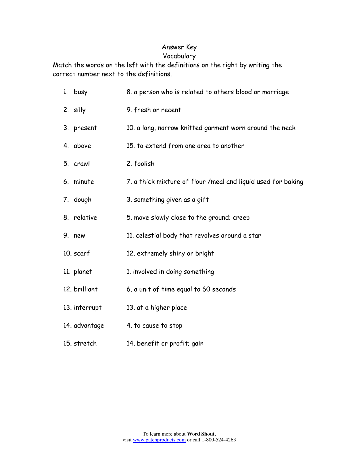## Answer Key

## Vocabulary

Match the words on the left with the definitions on the right by writing the correct number next to the definitions.

| 1. busy       | 8. a person who is related to others blood or marriage       |
|---------------|--------------------------------------------------------------|
| 2. silly      | 9. fresh or recent                                           |
| 3. present    | 10. a long, narrow knitted garment worn around the neck      |
| 4. above      | 15. to extend from one area to another                       |
| 5. crawl      | 2. foolish                                                   |
| 6. minute     | 7. a thick mixture of flour /meal and liquid used for baking |
| 7. dough      | 3. something given as a gift                                 |
| 8. relative   | 5. move slowly close to the ground; creep                    |
| 9. new        | 11. celestial body that revolves around a star               |
| 10. scarf     | 12. extremely shiny or bright                                |
| 11. planet    | 1. involved in doing something                               |
| 12. brilliant | 6. a unit of time equal to 60 seconds                        |
| 13. interrupt | 13. at a higher place                                        |
| 14. advantage | 4. to cause to stop                                          |
| 15. stretch   | 14. benefit or profit; gain                                  |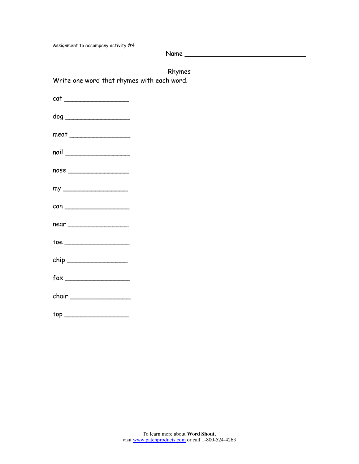Assignment to accompany activity #4

Name \_\_\_\_\_\_\_\_\_\_\_\_\_\_\_\_\_\_\_\_\_\_\_\_\_\_\_\_\_\_

Rhymes

Write one word that rhymes with each word.

| $cat \_$                                                                                                                                                                                                                                                                                                                                                                    |
|-----------------------------------------------------------------------------------------------------------------------------------------------------------------------------------------------------------------------------------------------------------------------------------------------------------------------------------------------------------------------------|
| dog ___________________________                                                                                                                                                                                                                                                                                                                                             |
| $\begin{picture}(20,10) \put(0,0){\dashbox{0.5}(5,0){ }} \put(15,0){\dashbox{0.5}(5,0){ }} \put(15,0){\dashbox{0.5}(5,0){ }} \put(15,0){\dashbox{0.5}(5,0){ }} \put(15,0){\dashbox{0.5}(5,0){ }} \put(15,0){\dashbox{0.5}(5,0){ }} \put(15,0){\dashbox{0.5}(5,0){ }} \put(15,0){\dashbox{0.5}(5,0){ }} \put(15,0){\dashbox{0.5}(5,0){ }} \put(15,0){\dashbox{0.5}(5,0){ }}$ |
|                                                                                                                                                                                                                                                                                                                                                                             |
| nose                                                                                                                                                                                                                                                                                                                                                                        |
|                                                                                                                                                                                                                                                                                                                                                                             |
|                                                                                                                                                                                                                                                                                                                                                                             |
| near ___________________                                                                                                                                                                                                                                                                                                                                                    |
|                                                                                                                                                                                                                                                                                                                                                                             |
|                                                                                                                                                                                                                                                                                                                                                                             |
|                                                                                                                                                                                                                                                                                                                                                                             |
| chair                                                                                                                                                                                                                                                                                                                                                                       |
| top _________________________                                                                                                                                                                                                                                                                                                                                               |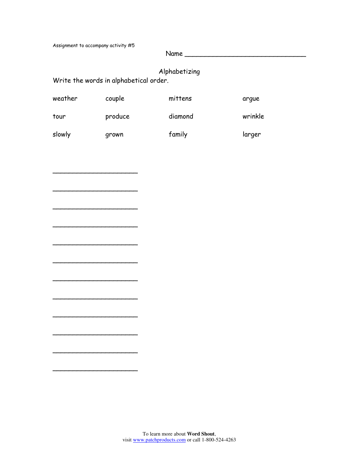Assignment to accompany activity #5

\_\_\_\_\_\_\_\_\_\_\_\_\_\_\_\_\_\_\_\_\_

\_\_\_\_\_\_\_\_\_\_\_\_\_\_\_\_\_\_\_\_\_

\_\_\_\_\_\_\_\_\_\_\_\_\_\_\_\_\_\_\_\_\_

\_\_\_\_\_\_\_\_\_\_\_\_\_\_\_\_\_\_\_\_\_

\_\_\_\_\_\_\_\_\_\_\_\_\_\_\_\_\_\_\_\_\_

\_\_\_\_\_\_\_\_\_\_\_\_\_\_\_\_\_\_\_\_\_

\_\_\_\_\_\_\_\_\_\_\_\_\_\_\_\_\_\_\_\_\_

\_\_\_\_\_\_\_\_\_\_\_\_\_\_\_\_\_\_\_\_\_

\_\_\_\_\_\_\_\_\_\_\_\_\_\_\_\_\_\_\_\_\_

\_\_\_\_\_\_\_\_\_\_\_\_\_\_\_\_\_\_\_\_\_

\_\_\_\_\_\_\_\_\_\_\_\_\_\_\_\_\_\_\_\_\_

Name \_\_\_\_\_\_\_\_\_\_\_\_\_\_\_\_\_\_\_\_\_\_\_\_\_\_\_\_\_\_

## Alphabetizing

Write the words in alphabetical order.

| weather | couple  | mittens | argue   |
|---------|---------|---------|---------|
| tour    | produce | diamond | wrinkle |
| slowly  | grown   | family  | larger  |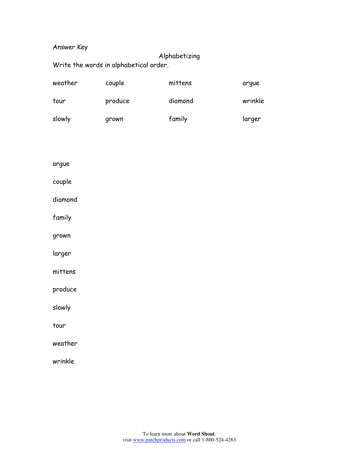## Answer Key

## Alphabetizing

Write the words in alphabetical order.

| slowly  | grown   | family  | larger  |
|---------|---------|---------|---------|
| tour    | produce | diamond | wrinkle |
| weather | couple  | mittens | arque   |

argue

couple

diamond

family

grown

larger

mittens

produce

slowly

tour

weather

wrinkle